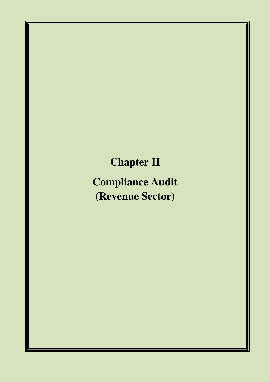**Chapter II**

**Compliance Audit (Revenue Sector)**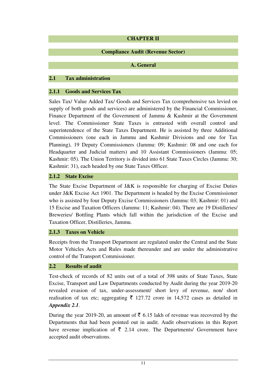## **CHAPTER II**

# **Compliance Audit (Revenue Sector)**

## **A. General**

## **2.1 Tax administration**

## **2.1.1 Goods and Services Tax**

Sales Tax/ Value Added Tax/ Goods and Services Tax (comprehensive tax levied on supply of both goods and services) are administered by the Financial Commissioner, Finance Department of the Government of Jammu & Kashmir at the Government level. The Commissioner State Taxes is entrusted with overall control and superintendence of the State Taxes Department. He is assisted by three Additional Commissioners (one each in Jammu and Kashmir Divisions and one for Tax Planning), 19 Deputy Commissioners (Jammu: 09; Kashmir: 08 and one each for Headquarter and Judicial matters) and 10 Assistant Commissioners (Jammu: 05; Kashmir: 05). The Union Territory is divided into 61 State Taxes Circles (Jammu: 30; Kashmir: 31), each headed by one State Taxes Officer.

## **2.1.2 State Excise**

The State Excise Department of J&K is responsible for charging of Excise Duties under J&K Excise Act 1901. The Department is headed by the Excise Commissioner who is assisted by four Deputy Excise Commissioners (Jammu: 03; Kashmir: 01) and 15 Excise and Taxation Officers (Jammu: 11; Kashmir: 04). There are 19 Distilleries/ Breweries/ Bottling Plants which fall within the jurisdiction of the Excise and Taxation Officer, Distilleries, Jammu.

## **2.1.3 Taxes on Vehicle**

Receipts from the Transport Department are regulated under the Central and the State Motor Vehicles Acts and Rules made thereunder and are under the administrative control of the Transport Commissioner.

## **2.2 Results of audit**

Test-check of records of 82 units out of a total of 398 units of State Taxes, State Excise, Transport and Law Departments conducted by Audit during the year 2019-20 revealed evasion of tax, under-assessment/ short levy of revenue, non/ short realisation of tax etc; aggregating  $\bar{\tau}$  127.72 crore in 14,572 cases as detailed in *Appendix 2.1*.

During the year 2019-20, an amount of  $\bar{\tau}$  6.15 lakh of revenue was recovered by the Departments that had been pointed out in audit. Audit observations in this Report have revenue implication of  $\bar{\xi}$  2.14 crore. The Departments/ Government have accepted audit observations.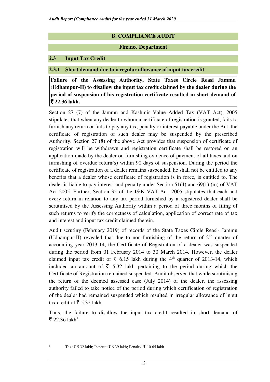## **B. COMPLIANCE AUDIT**

#### **Finance Department**

## **2.3 Input Tax Credit**

#### **2.3.1 Short demand due to irregular allowance of input tax credit**

**Failure of the Assessing Authority, State Taxes Circle Reasi Jammu**  (**Udhampur-II**) **to disallow the input tax credit claimed by the dealer during the period of suspension of his registration certificate resulted in short demand of**  ` **22.36 lakh.** 

Section 27 (7) of the Jammu and Kashmir Value Added Tax (VAT Act), 2005 stipulates that when any dealer to whom a certificate of registration is granted, fails to furnish any return or fails to pay any tax, penalty or interest payable under the Act, the certificate of registration of such dealer may be suspended by the prescribed Authority. Section 27 (8) of the above Act provides that suspension of certificate of registration will be withdrawn and registration certificate shall be restored on an application made by the dealer on furnishing evidence of payment of all taxes and on furnishing of overdue return(s) within 90 days of suspension. During the period the certificate of registration of a dealer remains suspended, he shall not be entitled to any benefits that a dealer whose certificate of registration is in force, is entitled to. The dealer is liable to pay interest and penalty under Section 51(4) and 69(1) (m) of VAT Act 2005. Further, Section 35 of the J&K VAT Act, 2005 stipulates that each and every return in relation to any tax period furnished by a registered dealer shall be scrutinised by the Assessing Authority within a period of three months of filing of such returns to verify the correctness of calculation, application of correct rate of tax and interest and input tax credit claimed therein.

Audit scrutiny (February 2019) of records of the State Taxes Circle Reasi- Jammu (Udhampur-II) revealed that due to non-furnishing of the return of  $2<sup>nd</sup>$  quarter of accounting year 2013-14, the Certificate of Registration of a dealer was suspended during the period from 01 February 2014 to 30 March 2014. However, the dealer claimed input tax credit of  $\bar{\xi}$  6.15 lakh during the 4<sup>th</sup> quarter of 2013-14, which included an amount of  $\bar{\tau}$  5.32 lakh pertaining to the period during which the Certificate of Registration remained suspended. Audit observed that while scrutinising the return of the deemed assessed case (July 2014) of the dealer, the assessing authority failed to take notice of the period during which certification of registration of the dealer had remained suspended which resulted in irregular allowance of input tax credit of  $\bar{\bar{\xi}}$  5.32 lakh.

Thus, the failure to disallow the input tax credit resulted in short demand of ₹ 22.36 lakh<sup>1</sup>.

 $\overline{a}$ 1

Tax: ₹5.32 lakh; Interest: ₹6.39 lakh; Penalty: ₹10.65 lakh.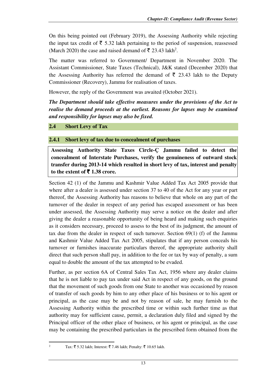On this being pointed out (February 2019), the Assessing Authority while rejecting the input tax credit of  $\bar{\tau}$  5.32 lakh pertaining to the period of suspension, reassessed (March 2020) the case and raised demand of  $\bar{\mathfrak{F}}$  23.43 lakh<sup>2</sup>.

The matter was referred to Government/ Department in November 2020. The Assistant Commissioner, State Taxes (Technical), J&K stated (December 2020) that the Assessing Authority has referred the demand of  $\bar{\tau}$  23.43 lakh to the Deputy Commissioner (Recovery), Jammu for realisation of taxes.

However, the reply of the Government was awaited (October 2021).

*The Department should take effective measures under the provisions of the Act to realise the demand proceeds at the earliest. Reasons for lapses may be examined and responsibility for lapses may also be fixed.* 

## **2.4 Short Levy of Tax**

## **2.4.1 Short levy of tax due to concealment of purchases**

**Assessing Authority State Taxes Circle-Ç Jammu failed to detect the concealment of Interstate Purchases, verify the genuineness of outward stock transfer during 2013-14 which resulted in short levy of tax, interest and penalty**  to the extent of  $\bar{\mathbf{z}}$  1.38 crore.

Section 42 (1) of the Jammu and Kashmir Value Added Tax Act 2005 provide that where after a dealer is assessed under section 37 to 40 of the Act for any year or part thereof, the Assessing Authority has reasons to believe that whole on any part of the turnover of the dealer in respect of any period has escaped assessment or has been under assessed, the Assessing Authority may serve a notice on the dealer and after giving the dealer a reasonable opportunity of being heard and making such enquiries as it considers necessary, proceed to assess to the best of its judgment, the amount of tax due from the dealer in respect of such turnover. Section 69(1) (f) of the Jammu and Kashmir Value Added Tax Act 2005, stipulates that if any person conceals his turnover or furnishes inaccurate particulars thereof, the appropriate authority shall direct that such person shall pay, in addition to the fee or tax by way of penalty, a sum equal to double the amount of the tax attempted to be evaded.

Further, as per section 6A of Central Sales Tax Act, 1956 where any dealer claims that he is not liable to pay tax under said Act in respect of any goods, on the ground that the movement of such goods from one State to another was occasioned by reason of transfer of such goods by him to any other place of his business or to his agent or principal, as the case may be and not by reason of sale, he may furnish to the Assessing Authority within the prescribed time or within such further time as that authority may for sufficient cause, permit, a declaration duly filed and signed by the Principal officer of the other place of business, or his agent or principal, as the case may be containing the prescribed particulars in the prescribed form obtained from the

 $\overline{a}$ 2

Tax: ₹5.32 lakh; Interest: ₹7.46 lakh; Penalty: ₹10.65 lakh.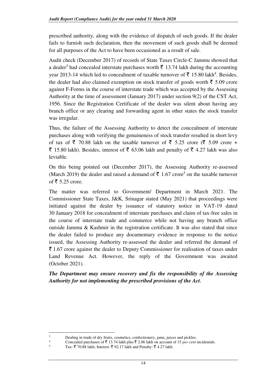prescribed authority, along with the evidence of dispatch of such goods. If the dealer fails to furnish such declaration, then the movement of such goods shall be deemed for all purposes of the Act to have been occasioned as a result of sale.

Audit check (December 2017) of records of State Taxes Circle-C Jammu showed that a dealer<sup>3</sup> had concealed interstate purchases worth  $\bar{\tau}$  13.74 lakh during the accounting year 2013-14 which led to concealment of taxable turnover of  $\bar{\tau}$  15.80 lakh<sup>4</sup>. Besides, the dealer had also claimed exemption on stock transfer of goods worth  $\bar{\tau}$  5.09 crore against F-Forms in the course of interstate trade which was accepted by the Assessing Authority at the time of assessment (January 2017) under section 9(2) of the CST Act, 1956. Since the Registration Certificate of the dealer was silent about having any branch office or any clearing and forwarding agent in other states the stock transfer was irregular.

Thus, the failure of the Assessing Authority to detect the concealment of interstate purchases along with verifying the genuineness of stock transfer resulted in short levy of tax of  $\bar{\xi}$  70.88 lakh on the taxable turnover of  $\bar{\xi}$  5.25 crore ( $\bar{\xi}$  5.09 crore + ₹ 15.80 lakh). Besides, interest of ₹ 63.06 lakh and penalty of ₹ 4.27 lakh was also leviable.

On this being pointed out (December 2017), the Assessing Authority re-assessed (March 2019) the dealer and raised a demand of  $\bar{\tau}$  1.67 crore<sup>5</sup> on the taxable turnover of  $\bar{\bar{\xi}}$  5.25 crore.

The matter was referred to Government/ Department in March 2021. The Commissioner State Taxes, J&K, Srinagar stated (May 2021) that proceedings were initiated against the dealer by issuance of statutory notice in VAT-19 dated 30 January 2018 for concealment of interstate purchases and claim of tax-free sales in the course of interstate trade and commerce while not having any branch office outside Jammu & Kashmir in the registration certificate. It was also stated that since the dealer failed to produce any documentary evidence in response to the notice issued, the Assessing Authority re-assessed the dealer and referred the demand of  $\bar{\tau}$  1.67 crore against the dealer to Deputy Commissioner for realisation of taxes under Land Revenue Act. However, the reply of the Government was awaited (October 2021).

*The Department may ensure recovery and fix the responsibility of the Assessing Authority for not implementing the prescribed provisions of the Act.* 

l

<sup>3</sup> Dealing in trade of dry fruits, cosmetics, confectionery, jams, juices and pickles. 4

Concealed purchases of  $\bar{\tau}$  13.74 lakh plus  $\bar{\tau}$  2.06 lakh on account of 15 *per cent* incidentals.

<sup>5</sup> Tax: ₹ 70.88 lakh; Interest: ₹ 92.17 lakh and Penalty: ₹ 4.27 lakh.